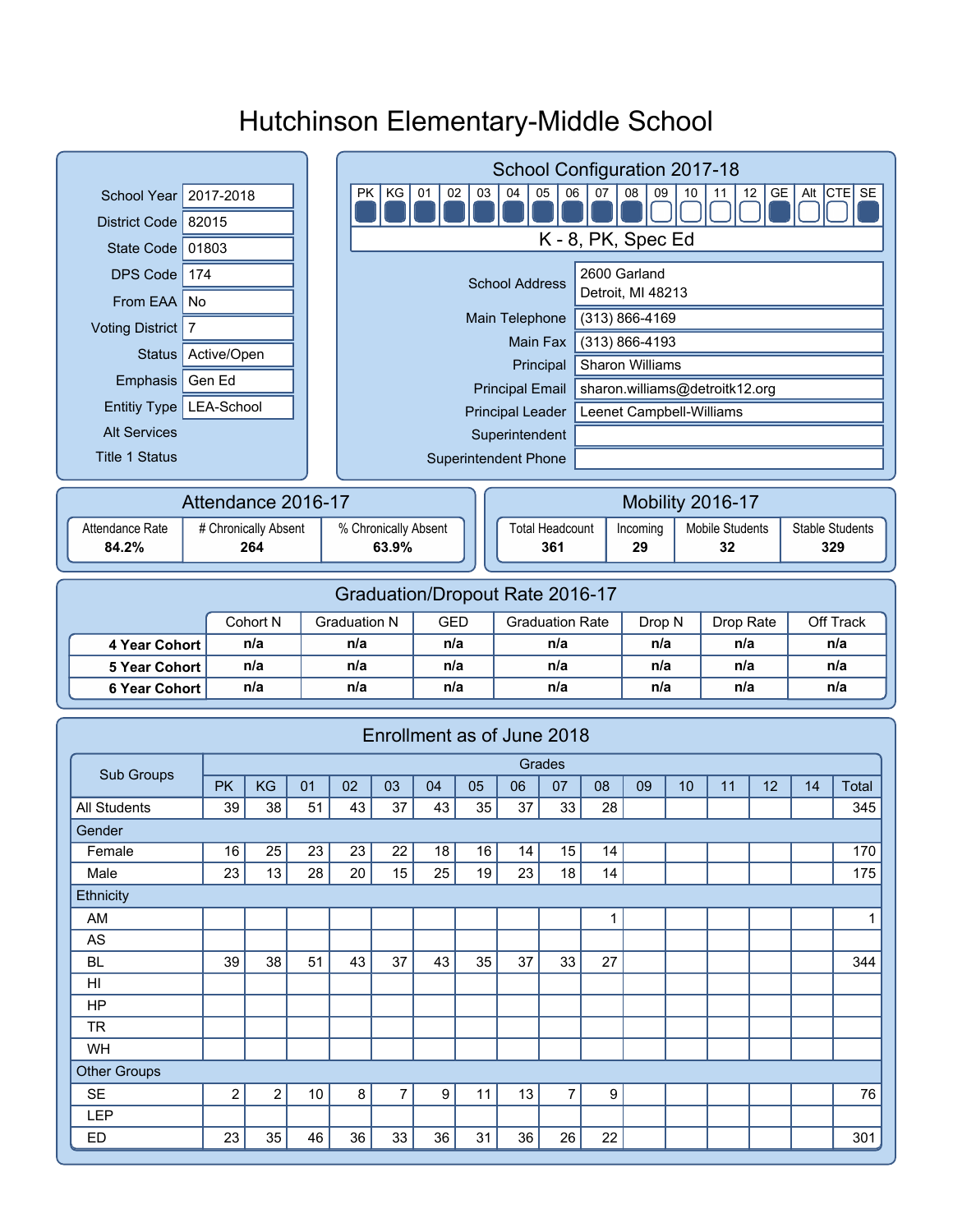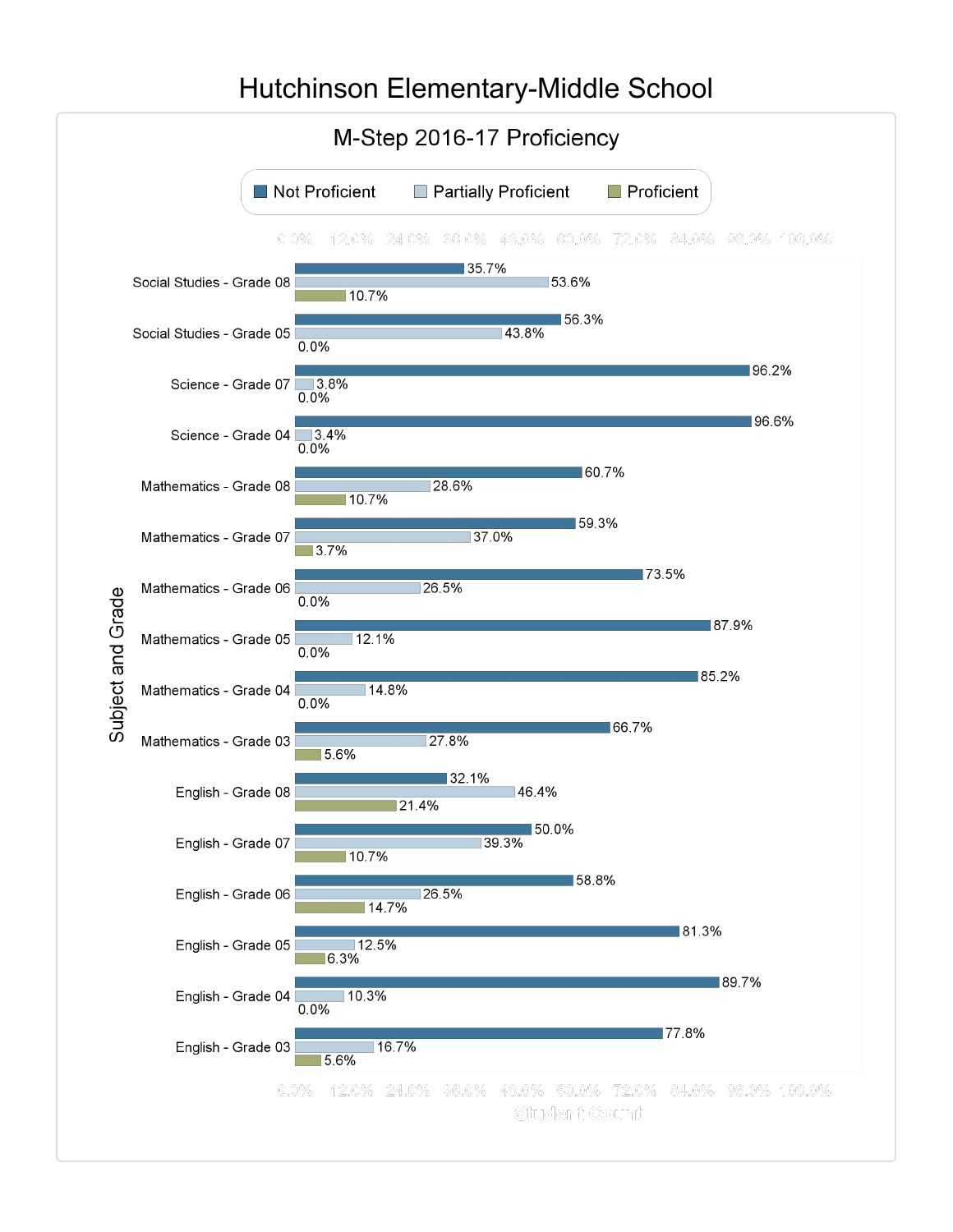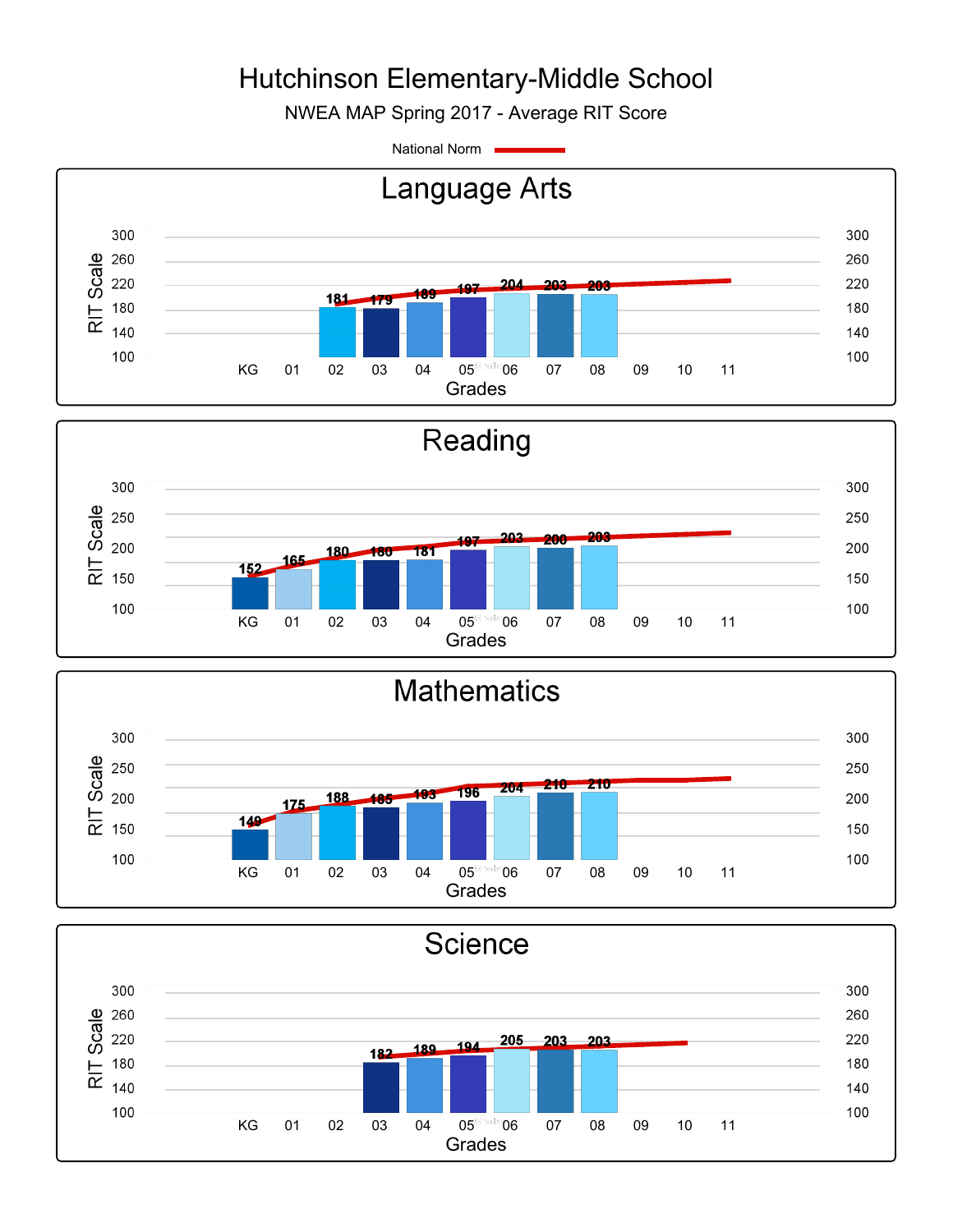NWEA MAP Spring 2017 - Average RIT Score

National Norm